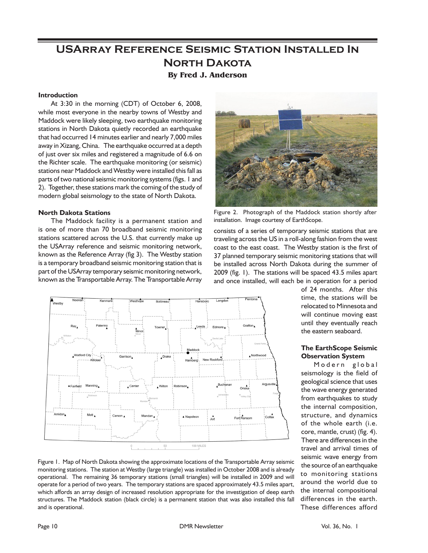# **USArray Reference Seismic Station Installed In North Dakota By Fred J. Anderson**

### **Introduction**

At 3:30 in the morning (CDT) of October 6, 2008, while most everyone in the nearby towns of Westby and Maddock were likely sleeping, two earthquake monitoring stations in North Dakota quietly recorded an earthquake that had occurred 14 minutes earlier and nearly 7,000 miles away in Xizang, China. The earthquake occurred at a depth of just over six miles and registered a magnitude of 6.6 on the Richter scale. The earthquake monitoring (or seismic) stations near Maddock and Westby were installed this fall as parts of two national seismic monitoring systems (figs. 1 and 2). Together, these stations mark the coming of the study of modern global seismology to the state of North Dakota.

### **North Dakota Stations**

The Maddock facility is a permanent station and is one of more than 70 broadband seismic monitoring stations scattered across the U.S. that currently make up the USArray reference and seismic monitoring network, known as the Reference Array (fig 3). The Westby station is a temporary broadband seismic monitoring station that is part of the USArray temporary seismic monitoring network, known as the Transportable Array. The Transportable Array



Figure 2. Photograph of the Maddock station shortly after installation. Image courtesy of EarthScope.

consists of a series of temporary seismic stations that are traveling across the US in a roll-along fashion from the west coast to the east coast. The Westby station is the first of 37 planned temporary seismic monitoring stations that will be installed across North Dakota during the summer of 2009 (fig. 1). The stations will be spaced 43.5 miles apart and once installed, will each be in operation for a period



of 24 months. After this time, the stations will be relocated to Minnesota and will continue moving east until they eventually reach the eastern seaboard.

### **The EarthScope Seismic Observation System**

Modern global seismology is the field of geological science that uses the wave energy generated from earthquakes to study the internal composition, structure, and dynamics of the whole earth (i.e. core, mantle, crust) (fig. 4). There are differences in the travel and arrival times of seismic wave energy from the source of an earthquake to monitoring stations around the world due to the internal compositional differences in the earth. These differences afford

Figure 1. Map of North Dakota showing the approximate locations of the Transportable Array seismic monitoring stations. The station at Westby (large triangle) was installed in October 2008 and is already operational. The remaining 36 temporary stations (small triangles) will be installed in 2009 and will operate for a period of two years. The temporary stations are spaced approximately 43.5 miles apart, which affords an array design of increased resolution appropriate for the investigation of deep earth structures. The Maddock station (black circle) is a permanent station that was also installed this fall and is operational.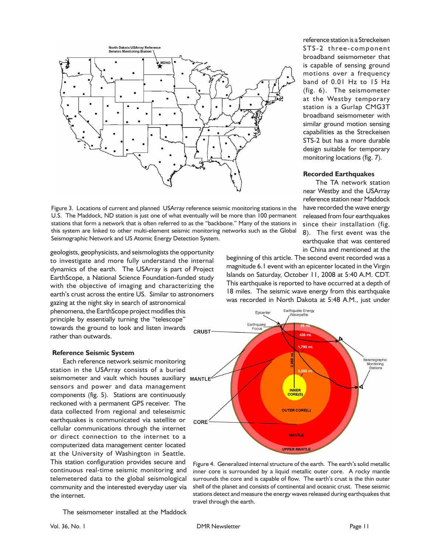

Figure 3. Locations of current and planned USArray reference seismic monitoring stations in the U.S. The Maddock, ND station is just one of what eventually will be more than 100 permanent stations that form a network that is often referred to as the "backbone." Many of the stations in this system are linked to other multi-element seismic monitoring networks such as the Global Seismographic Network and US Atomic Energy Detection System.

geologists, geophysicists, and seismologists the opportunity to investigate and more fully understand the internal dynamics of the earth. The USArray is part of Project EarthScope, a National Science Foundation-funded study with the objective of imaging and characterizing the earth's crust across the entire US. Similar to astronomers gazing at the night sky in search of astronomical phenomena, the EarthScope project modifies this principle by essentially turning the "telescope" towards the ground to look and listen inwards CRUST rather than outwards.

#### **Reference Seismic System**

Each reference network seismic monitoring station in the USArray consists of a buried seismometer and vault which houses auxiliary MANTLE<sup>®</sup> sensors and power and data management components (fig. 5). Stations are continuously reckoned with a permanent GPS receiver. The data collected from regional and teleseismic earthquakes is communicated via satellite or cellular communications through the internet or direct connection to the internet to a computerized data management center located at the University of Washington in Seattle. This station configuration provides secure and continuous real-time seismic monitoring and telemetered data to the global seismological community and the interested everyday user via the internet.

reference station is a Streckeisen STS-2 three-component broadband seismometer that is capable of sensing ground motions over a frequency band of 0.01 Hz to 15 Hz (fig. 6). The seismometer at the Westby temporary station is a Gurlap CMG3T broadband seismometer with similar ground motion sensing capabilities as the Streckeisen STS-2 but has a more durable design suitable for temporary monitoring locations (fig. 7).

#### **Recorded Earthquakes**

The TA network station near Westby and the USArray reference station near Maddock have recorded the wave energy released from four earthquakes since their installation (fig. 8). The first event was the earthquake that was centered in China and mentioned at the

beginning of this article. The second event recorded was a magnitude 6.1 event with an epicenter located in the Virgin Islands on Saturday, October 11, 2008 at 5:40 A.M. CDT. This earthquake is reported to have occurred at a depth of 18 miles. The seismic wave energy from this earthquake was recorded in North Dakota at 5:48 A.M., just under



Figure 4. Generalized internal structure of the earth. The earth's solid metallic inner core is surrounded by a liquid metallic outer core. A rocky mantle surrounds the core and is capable of flow. The earth's crust is the thin outer shell of the planet and consists of continental and oceanic crust. These seismic stations detect and measure the energy waves released during earthquakes that travel through the earth.

The seismometer installed at the Maddock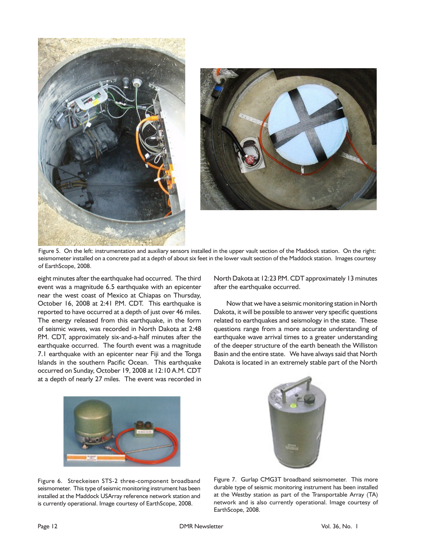



Figure 5. On the left: instrumentation and auxiliary sensors installed in the upper vault section of the Maddock station. On the right: seismometer installed on a concrete pad at a depth of about six feet in the lower vault section of the Maddock station. Images courtesy of EarthScope, 2008.

eight minutes after the earthquake had occurred. The third event was a magnitude 6.5 earthquake with an epicenter near the west coast of Mexico at Chiapas on Thursday, October 16, 2008 at 2:41 P.M. CDT. This earthquake is reported to have occurred at a depth of just over 46 miles. The energy released from this earthquake, in the form of seismic waves, was recorded in North Dakota at 2:48 P.M. CDT, approximately six-and-a-half minutes after the earthquake occurred. The fourth event was a magnitude 7.1 earthquake with an epicenter near Fiji and the Tonga Islands in the southern Pacific Ocean. This earthquake occurred on Sunday, October 19, 2008 at 12:10 A.M. CDT at a depth of nearly 27 miles. The event was recorded in

North Dakota at 12:23 P.M. CDT approximately 13 minutes after the earthquake occurred.

Now that we have a seismic monitoring station in North Dakota, it will be possible to answer very specific questions related to earthquakes and seismology in the state. These questions range from a more accurate understanding of earthquake wave arrival times to a greater understanding of the deeper structure of the earth beneath the Williston Basin and the entire state. We have always said that North Dakota is located in an extremely stable part of the North





Figure 6. Streckeisen STS-2 three-component broadband seismometer. This type of seismic monitoring instrument has been installed at the Maddock USArray reference network station and is currently operational. Image courtesy of EarthScope, 2008.

Figure 7. Gurlap CMG3T broadband seismometer. This more durable type of seismic monitoring instrument has been installed at the Westby station as part of the Transportable Array (TA) network and is also currently operational. Image courtesy of EarthScope, 2008.